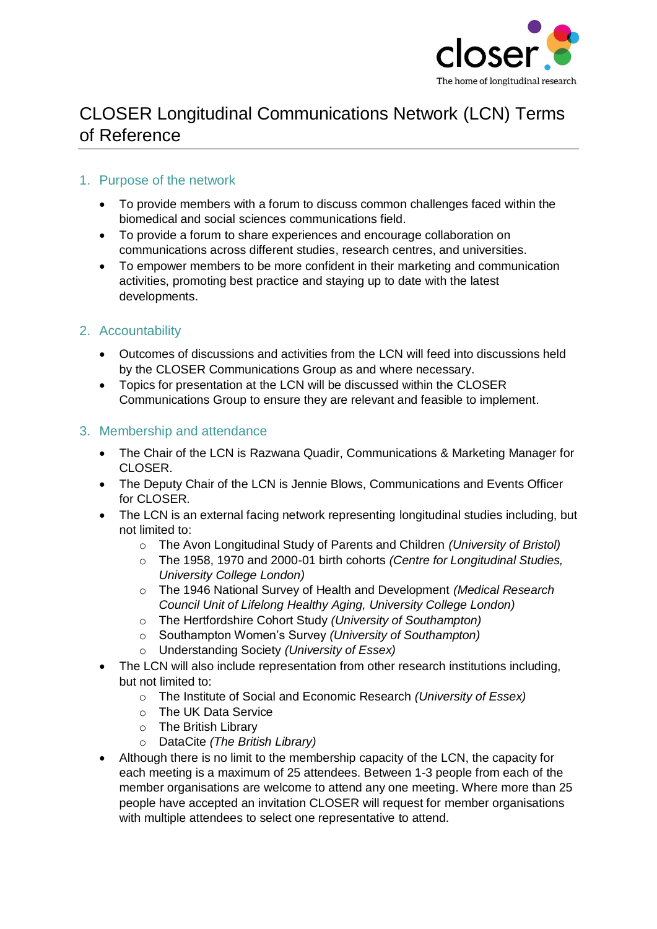

# CLOSER Longitudinal Communications Network (LCN) Terms of Reference

#### 1. Purpose of the network

- To provide members with a forum to discuss common challenges faced within the biomedical and social sciences communications field.
- To provide a forum to share experiences and encourage collaboration on communications across different studies, research centres, and universities.
- To empower members to be more confident in their marketing and communication activities, promoting best practice and staying up to date with the latest developments.

#### 2. Accountability

- Outcomes of discussions and activities from the LCN will feed into discussions held by the CLOSER Communications Group as and where necessary.
- Topics for presentation at the LCN will be discussed within the CLOSER Communications Group to ensure they are relevant and feasible to implement*.*

#### 3. Membership and attendance

- The Chair of the LCN is Razwana Quadir, Communications & Marketing Manager for CLOSER.
- The Deputy Chair of the LCN is Jennie Blows, Communications and Events Officer for CLOSER.
- The LCN is an external facing network representing longitudinal studies including, but not limited to:
	- o The Avon Longitudinal Study of Parents and Children *(University of Bristol)*
	- o The 1958, 1970 and 2000-01 birth cohorts *(Centre for Longitudinal Studies, University College London)*
	- o The 1946 National Survey of Health and Development *(Medical Research Council Unit of Lifelong Healthy Aging, University College London)*
	- o The Hertfordshire Cohort Study *(University of Southampton)*
	- o Southampton Women's Survey *(University of Southampton)*
	- o Understanding Society *(University of Essex)*
- The LCN will also include representation from other research institutions including, but not limited to:
	- o The Institute of Social and Economic Research *(University of Essex)*
	- o The UK Data Service
	- o The British Library
	- o DataCite *(The British Library)*
- Although there is no limit to the membership capacity of the LCN, the capacity for each meeting is a maximum of 25 attendees. Between 1-3 people from each of the member organisations are welcome to attend any one meeting. Where more than 25 people have accepted an invitation CLOSER will request for member organisations with multiple attendees to select one representative to attend.